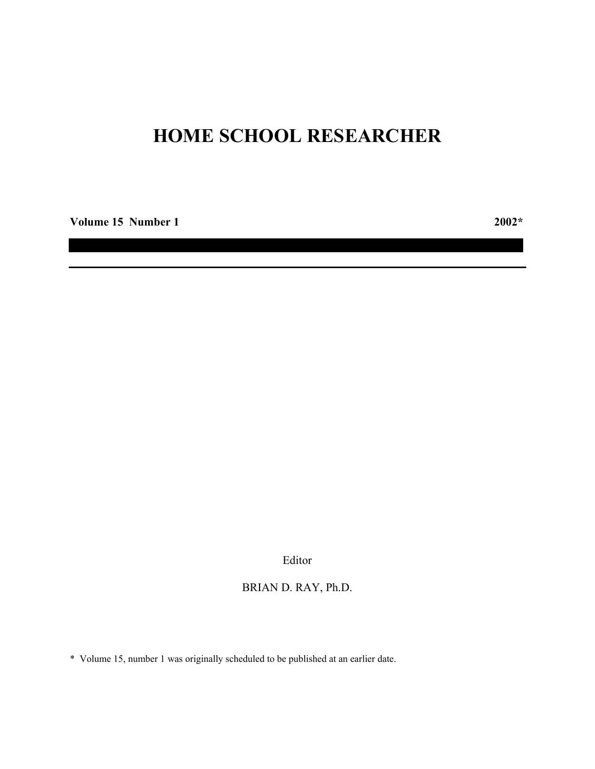# **HOME SCHOOL RESEARCHER**

**Volume 15 Number 1 2002\***

Editor

# BRIAN D. RAY, Ph.D.

\* Volume 15, number 1 was originally scheduled to be published at an earlier date.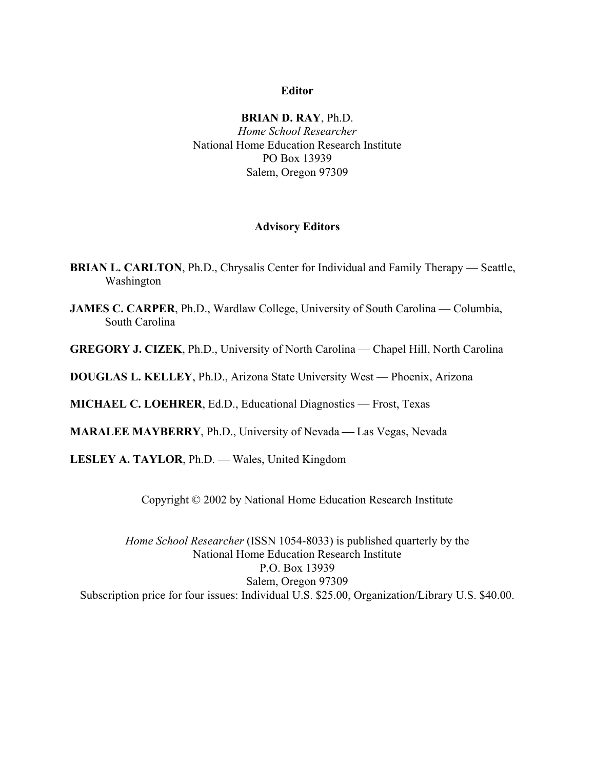# **Editor**

**BRIAN D. RAY**, Ph.D. *Home School Researcher* National Home Education Research Institute PO Box 13939 Salem, Oregon 97309

## **Advisory Editors**

- **BRIAN L. CARLTON, Ph.D., Chrysalis Center for Individual and Family Therapy Seattle,** Washington
- **JAMES C. CARPER**, Ph.D., Wardlaw College, University of South Carolina Columbia, South Carolina

**GREGORY J. CIZEK**, Ph.D., University of North Carolina — Chapel Hill, North Carolina

**DOUGLAS L. KELLEY**, Ph.D., Arizona State University West –– Phoenix, Arizona

**MICHAEL C. LOEHRER**, Ed.D., Educational Diagnostics –– Frost, Texas

**MARALEE MAYBERRY**, Ph.D., University of Nevada — Las Vegas, Nevada

**LESLEY A. TAYLOR**, Ph.D. — Wales, United Kingdom

Copyright © 2002 by National Home Education Research Institute

*Home School Researcher* (ISSN 1054-8033) is published quarterly by the National Home Education Research Institute P.O. Box 13939 Salem, Oregon 97309 Subscription price for four issues: Individual U.S. \$25.00, Organization/Library U.S. \$40.00.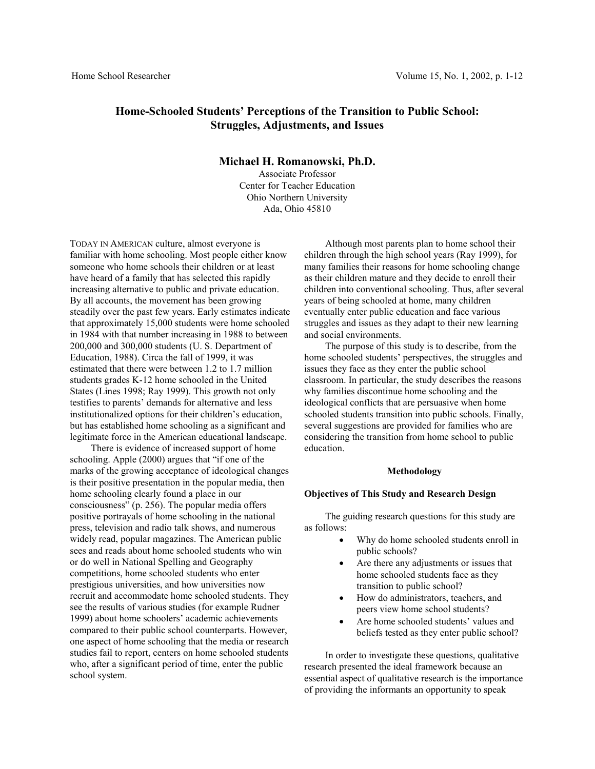# **Home-Schooled Students' Perceptions of the Transition to Public School: Struggles, Adjustments, and Issues**

## **Michael H. Romanowski, Ph.D.**

Associate Professor Center for Teacher Education Ohio Northern University Ada, Ohio 45810

TODAY IN AMERICAN culture, almost everyone is familiar with home schooling. Most people either know someone who home schools their children or at least have heard of a family that has selected this rapidly increasing alternative to public and private education. By all accounts, the movement has been growing steadily over the past few years. Early estimates indicate that approximately 15,000 students were home schooled in 1984 with that number increasing in 1988 to between 200,000 and 300,000 students (U. S. Department of Education, 1988). Circa the fall of 1999, it was estimated that there were between 1.2 to 1.7 million students grades K-12 home schooled in the United States (Lines 1998; Ray 1999). This growth not only testifies to parents' demands for alternative and less institutionalized options for their children's education, but has established home schooling as a significant and legitimate force in the American educational landscape.

There is evidence of increased support of home schooling. Apple (2000) argues that "if one of the marks of the growing acceptance of ideological changes is their positive presentation in the popular media, then home schooling clearly found a place in our consciousness" (p. 256). The popular media offers positive portrayals of home schooling in the national press, television and radio talk shows, and numerous widely read, popular magazines. The American public sees and reads about home schooled students who win or do well in National Spelling and Geography competitions, home schooled students who enter prestigious universities, and how universities now recruit and accommodate home schooled students. They see the results of various studies (for example Rudner 1999) about home schoolers' academic achievements compared to their public school counterparts. However, one aspect of home schooling that the media or research studies fail to report, centers on home schooled students who, after a significant period of time, enter the public school system.

Although most parents plan to home school their children through the high school years (Ray 1999), for many families their reasons for home schooling change as their children mature and they decide to enroll their children into conventional schooling. Thus, after several years of being schooled at home, many children eventually enter public education and face various struggles and issues as they adapt to their new learning and social environments.

The purpose of this study is to describe, from the home schooled students' perspectives, the struggles and issues they face as they enter the public school classroom. In particular, the study describes the reasons why families discontinue home schooling and the ideological conflicts that are persuasive when home schooled students transition into public schools. Finally, several suggestions are provided for families who are considering the transition from home school to public education.

#### **Methodology**

#### **Objectives of This Study and Research Design**

The guiding research questions for this study are as follows:

- Why do home schooled students enroll in public schools?
- Are there any adjustments or issues that home schooled students face as they transition to public school?
- How do administrators, teachers, and peers view home school students?
- Are home schooled students' values and beliefs tested as they enter public school?

In order to investigate these questions, qualitative research presented the ideal framework because an essential aspect of qualitative research is the importance of providing the informants an opportunity to speak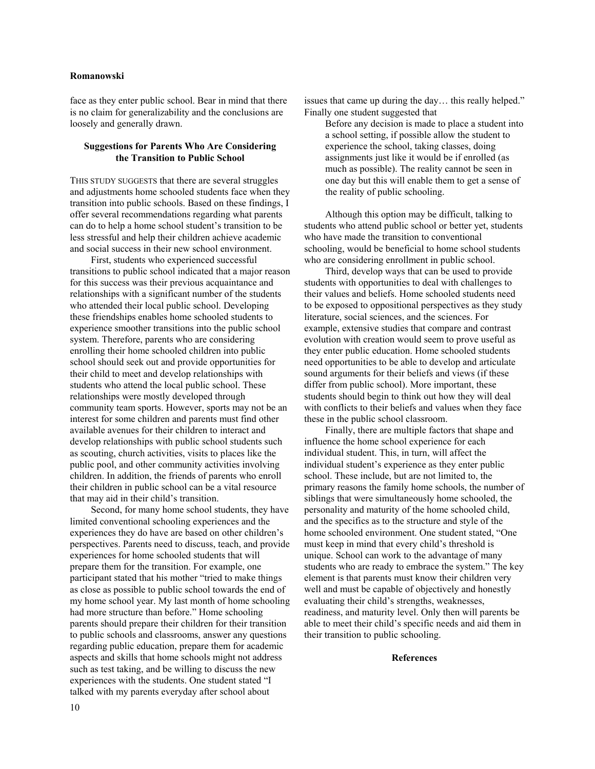## **Romanowski**

face as they enter public school. Bear in mind that there is no claim for generalizability and the conclusions are loosely and generally drawn.

## **Suggestions for Parents Who Are Considering the Transition to Public School**

THIS STUDY SUGGESTS that there are several struggles and adjustments home schooled students face when they transition into public schools. Based on these findings, I offer several recommendations regarding what parents can do to help a home school student's transition to be less stressful and help their children achieve academic and social success in their new school environment.

First, students who experienced successful transitions to public school indicated that a major reason for this success was their previous acquaintance and relationships with a significant number of the students who attended their local public school. Developing these friendships enables home schooled students to experience smoother transitions into the public school system. Therefore, parents who are considering enrolling their home schooled children into public school should seek out and provide opportunities for their child to meet and develop relationships with students who attend the local public school. These relationships were mostly developed through community team sports. However, sports may not be an interest for some children and parents must find other available avenues for their children to interact and develop relationships with public school students such as scouting, church activities, visits to places like the public pool, and other community activities involving children. In addition, the friends of parents who enroll their children in public school can be a vital resource that may aid in their child's transition.

Second, for many home school students, they have limited conventional schooling experiences and the experiences they do have are based on other children's perspectives. Parents need to discuss, teach, and provide experiences for home schooled students that will prepare them for the transition. For example, one participant stated that his mother "tried to make things as close as possible to public school towards the end of my home school year. My last month of home schooling had more structure than before." Home schooling parents should prepare their children for their transition to public schools and classrooms, answer any questions regarding public education, prepare them for academic aspects and skills that home schools might not address such as test taking, and be willing to discuss the new experiences with the students. One student stated "I talked with my parents everyday after school about

issues that came up during the day… this really helped." Finally one student suggested that

Before any decision is made to place a student into a school setting, if possible allow the student to experience the school, taking classes, doing assignments just like it would be if enrolled (as much as possible). The reality cannot be seen in one day but this will enable them to get a sense of the reality of public schooling.

Although this option may be difficult, talking to students who attend public school or better yet, students who have made the transition to conventional schooling, would be beneficial to home school students who are considering enrollment in public school.

Third, develop ways that can be used to provide students with opportunities to deal with challenges to their values and beliefs. Home schooled students need to be exposed to oppositional perspectives as they study literature, social sciences, and the sciences. For example, extensive studies that compare and contrast evolution with creation would seem to prove useful as they enter public education. Home schooled students need opportunities to be able to develop and articulate sound arguments for their beliefs and views (if these differ from public school). More important, these students should begin to think out how they will deal with conflicts to their beliefs and values when they face these in the public school classroom.

Finally, there are multiple factors that shape and influence the home school experience for each individual student. This, in turn, will affect the individual student's experience as they enter public school. These include, but are not limited to, the primary reasons the family home schools, the number of siblings that were simultaneously home schooled, the personality and maturity of the home schooled child, and the specifics as to the structure and style of the home schooled environment. One student stated, "One must keep in mind that every child's threshold is unique. School can work to the advantage of many students who are ready to embrace the system." The key element is that parents must know their children very well and must be capable of objectively and honestly evaluating their child's strengths, weaknesses, readiness, and maturity level. Only then will parents be able to meet their child's specific needs and aid them in their transition to public schooling.

### **References**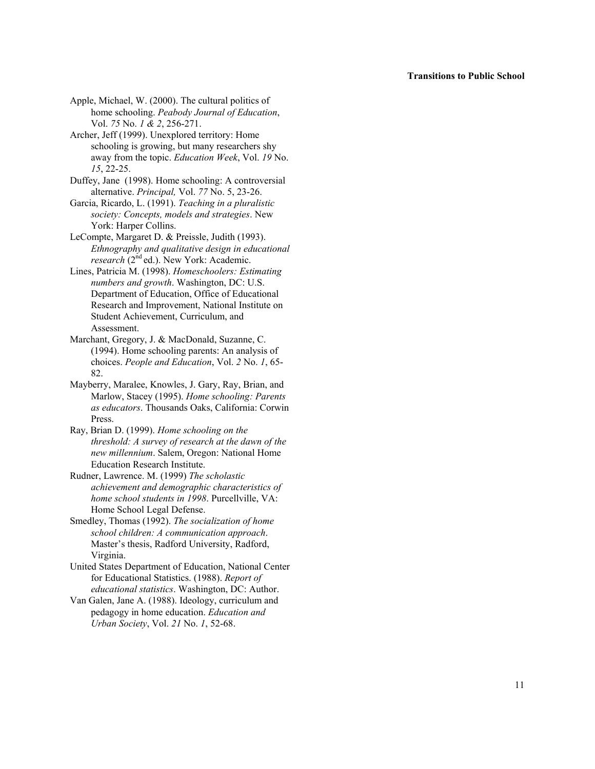#### **Transitions to Public School**

Apple, Michael, W. (2000). The cultural politics of home schooling. *Peabody Journal of Education*, Vol. *75* No. *1 & 2*, 256-271.

Archer, Jeff (1999). Unexplored territory: Home schooling is growing, but many researchers shy away from the topic. *Education Week*, Vol. *19* No. *15*, 22-25.

Duffey, Jane (1998). Home schooling: A controversial alternative. *Principal,* Vol. *77* No. 5, 23-26.

Garcia, Ricardo, L. (1991). *Teaching in a pluralistic society: Concepts, models and strategies*. New York: Harper Collins.

LeCompte, Margaret D. & Preissle, Judith (1993). *Ethnography and qualitative design in educational research* (2<sup>nd</sup> ed.). New York: Academic.

Lines, Patricia M. (1998). *Homeschoolers: Estimating numbers and growth*. Washington, DC: U.S. Department of Education, Office of Educational Research and Improvement, National Institute on Student Achievement, Curriculum, and Assessment.

Marchant, Gregory, J. & MacDonald, Suzanne, C. (1994). Home schooling parents: An analysis of choices. *People and Education*, Vol. *2* No. *1*, 65- 82.

Mayberry, Maralee, Knowles, J. Gary, Ray, Brian, and Marlow, Stacey (1995). *Home schooling: Parents as educators*. Thousands Oaks, California: Corwin Press.

Ray, Brian D. (1999). *Home schooling on the threshold: A survey of research at the dawn of the new millennium*. Salem, Oregon: National Home Education Research Institute.

Rudner, Lawrence. M. (1999) *The scholastic achievement and demographic characteristics of home school students in 1998*. Purcellville, VA: Home School Legal Defense.

Smedley, Thomas (1992). *The socialization of home school children: A communication approach*. Master's thesis, Radford University, Radford, Virginia.

United States Department of Education, National Center for Educational Statistics. (1988). *Report of educational statistics*. Washington, DC: Author.

Van Galen, Jane A. (1988). Ideology, curriculum and pedagogy in home education. *Education and Urban Society*, Vol. *21* No. *1*, 52-68.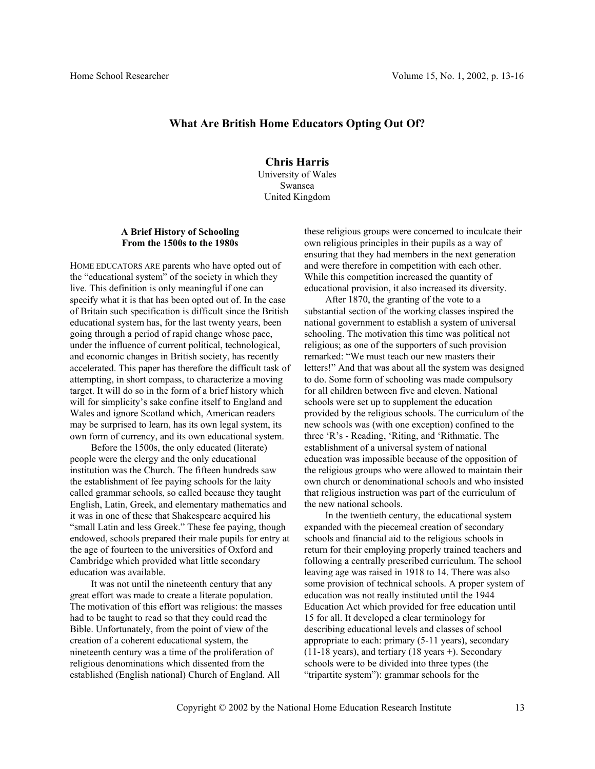## **What Are British Home Educators Opting Out Of?**

**Chris Harris**  University of Wales Swansea United Kingdom

## **A Brief History of Schooling From the 1500s to the 1980s**

HOME EDUCATORS ARE parents who have opted out of the "educational system" of the society in which they live. This definition is only meaningful if one can specify what it is that has been opted out of. In the case of Britain such specification is difficult since the British educational system has, for the last twenty years, been going through a period of rapid change whose pace, under the influence of current political, technological, and economic changes in British society, has recently accelerated. This paper has therefore the difficult task of attempting, in short compass, to characterize a moving target. It will do so in the form of a brief history which will for simplicity's sake confine itself to England and Wales and ignore Scotland which, American readers may be surprised to learn, has its own legal system, its own form of currency, and its own educational system.

Before the 1500s, the only educated (literate) people were the clergy and the only educational institution was the Church. The fifteen hundreds saw the establishment of fee paying schools for the laity called grammar schools, so called because they taught English, Latin, Greek, and elementary mathematics and it was in one of these that Shakespeare acquired his "small Latin and less Greek." These fee paying, though endowed, schools prepared their male pupils for entry at the age of fourteen to the universities of Oxford and Cambridge which provided what little secondary education was available.

It was not until the nineteenth century that any great effort was made to create a literate population. The motivation of this effort was religious: the masses had to be taught to read so that they could read the Bible. Unfortunately, from the point of view of the creation of a coherent educational system, the nineteenth century was a time of the proliferation of religious denominations which dissented from the established (English national) Church of England. All

these religious groups were concerned to inculcate their own religious principles in their pupils as a way of ensuring that they had members in the next generation and were therefore in competition with each other. While this competition increased the quantity of educational provision, it also increased its diversity.

After 1870, the granting of the vote to a substantial section of the working classes inspired the national government to establish a system of universal schooling. The motivation this time was political not religious; as one of the supporters of such provision remarked: "We must teach our new masters their letters!" And that was about all the system was designed to do. Some form of schooling was made compulsory for all children between five and eleven. National schools were set up to supplement the education provided by the religious schools. The curriculum of the new schools was (with one exception) confined to the three 'R's - Reading, 'Riting, and 'Rithmatic. The establishment of a universal system of national education was impossible because of the opposition of the religious groups who were allowed to maintain their own church or denominational schools and who insisted that religious instruction was part of the curriculum of the new national schools.

In the twentieth century, the educational system expanded with the piecemeal creation of secondary schools and financial aid to the religious schools in return for their employing properly trained teachers and following a centrally prescribed curriculum. The school leaving age was raised in 1918 to 14. There was also some provision of technical schools. A proper system of education was not really instituted until the 1944 Education Act which provided for free education until 15 for all. It developed a clear terminology for describing educational levels and classes of school appropriate to each: primary (5-11 years), secondary (11-18 years), and tertiary (18 years +). Secondary schools were to be divided into three types (the "tripartite system"): grammar schools for the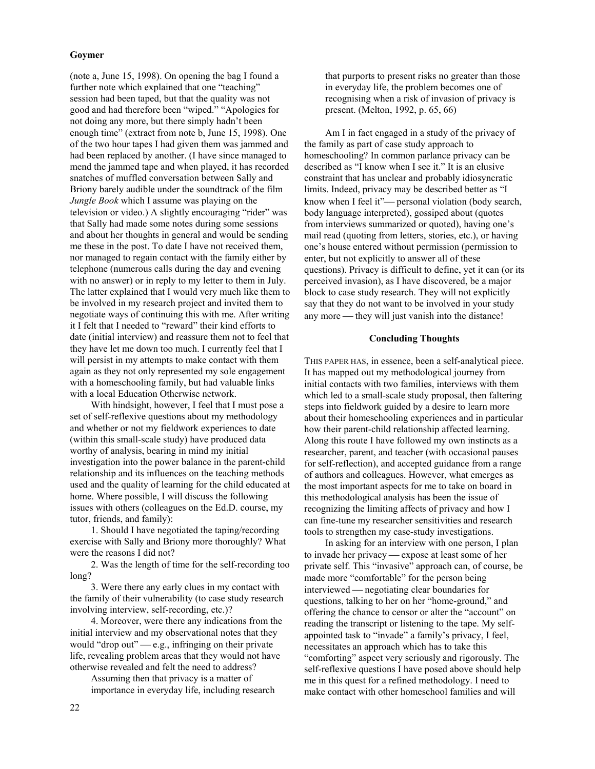## **Goymer**

(note a, June 15, 1998). On opening the bag I found a further note which explained that one "teaching" session had been taped, but that the quality was not good and had therefore been "wiped." "Apologies for not doing any more, but there simply hadn't been enough time" (extract from note b, June 15, 1998). One of the two hour tapes I had given them was jammed and had been replaced by another. (I have since managed to mend the jammed tape and when played, it has recorded snatches of muffled conversation between Sally and Briony barely audible under the soundtrack of the film *Jungle Book* which I assume was playing on the television or video.) A slightly encouraging "rider" was that Sally had made some notes during some sessions and about her thoughts in general and would be sending me these in the post. To date I have not received them, nor managed to regain contact with the family either by telephone (numerous calls during the day and evening with no answer) or in reply to my letter to them in July. The latter explained that I would very much like them to be involved in my research project and invited them to negotiate ways of continuing this with me. After writing it I felt that I needed to "reward" their kind efforts to date (initial interview) and reassure them not to feel that they have let me down too much. I currently feel that I will persist in my attempts to make contact with them again as they not only represented my sole engagement with a homeschooling family, but had valuable links with a local Education Otherwise network.

With hindsight, however, I feel that I must pose a set of self-reflexive questions about my methodology and whether or not my fieldwork experiences to date (within this small-scale study) have produced data worthy of analysis, bearing in mind my initial investigation into the power balance in the parent-child relationship and its influences on the teaching methods used and the quality of learning for the child educated at home. Where possible, I will discuss the following issues with others (colleagues on the Ed.D. course, my tutor, friends, and family):

1. Should I have negotiated the taping/recording exercise with Sally and Briony more thoroughly? What were the reasons I did not?

2. Was the length of time for the self-recording too long?

3. Were there any early clues in my contact with the family of their vulnerability (to case study research involving interview, self-recording, etc.)?

4. Moreover, were there any indications from the initial interview and my observational notes that they would "drop out"  $-e.g.,$  infringing on their private life, revealing problem areas that they would not have otherwise revealed and felt the need to address?

Assuming then that privacy is a matter of importance in everyday life, including research that purports to present risks no greater than those in everyday life, the problem becomes one of recognising when a risk of invasion of privacy is present. (Melton, 1992, p. 65, 66)

Am I in fact engaged in a study of the privacy of the family as part of case study approach to homeschooling? In common parlance privacy can be described as "I know when I see it." It is an elusive constraint that has unclear and probably idiosyncratic limits. Indeed, privacy may be described better as "I know when I feel it"— personal violation (body search, body language interpreted), gossiped about (quotes from interviews summarized or quoted), having one's mail read (quoting from letters, stories, etc.), or having one's house entered without permission (permission to enter, but not explicitly to answer all of these questions). Privacy is difficult to define, yet it can (or its perceived invasion), as I have discovered, be a major block to case study research. They will not explicitly say that they do not want to be involved in your study any more — they will just vanish into the distance!

#### **Concluding Thoughts**

THIS PAPER HAS, in essence, been a self-analytical piece. It has mapped out my methodological journey from initial contacts with two families, interviews with them which led to a small-scale study proposal, then faltering steps into fieldwork guided by a desire to learn more about their homeschooling experiences and in particular how their parent-child relationship affected learning. Along this route I have followed my own instincts as a researcher, parent, and teacher (with occasional pauses for self-reflection), and accepted guidance from a range of authors and colleagues. However, what emerges as the most important aspects for me to take on board in this methodological analysis has been the issue of recognizing the limiting affects of privacy and how I can fine-tune my researcher sensitivities and research tools to strengthen my case-study investigations.

In asking for an interview with one person, I plan to invade her privacy — expose at least some of her private self. This "invasive" approach can, of course, be made more "comfortable" for the person being interviewed — negotiating clear boundaries for questions, talking to her on her "home-ground," and offering the chance to censor or alter the "account" on reading the transcript or listening to the tape. My selfappointed task to "invade" a family's privacy, I feel, necessitates an approach which has to take this "comforting" aspect very seriously and rigorously. The self-reflexive questions I have posed above should help me in this quest for a refined methodology. I need to make contact with other homeschool families and will